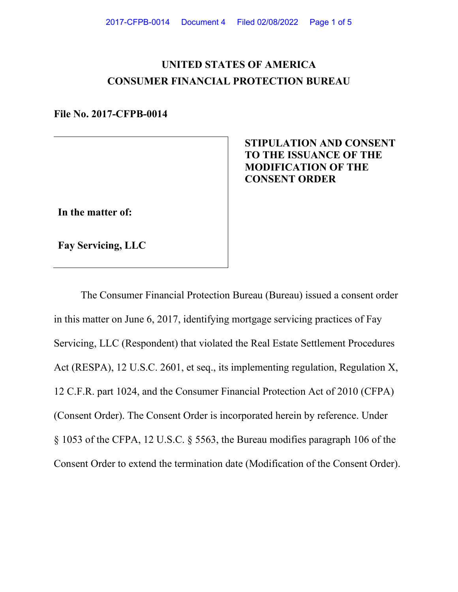# **UNITED STATES OF AMERICA CONSUMER FINANCIAL PROTECTION BUREAU**

**File No. 2017-CFPB-0014**

# **STIPULATION AND CONSENT TO THE ISSUANCE OF THE MODIFICATION OF THE CONSENT ORDER**

**In the matter of:**

**Fay Servicing, LLC**

The Consumer Financial Protection Bureau (Bureau) issued a consent order in this matter on June 6, 2017, identifying mortgage servicing practices of Fay Servicing, LLC (Respondent) that violated the Real Estate Settlement Procedures Act (RESPA), 12 U.S.C. 2601, et seq., its implementing regulation, Regulation X, 12 C.F.R. part 1024, and the Consumer Financial Protection Act of 2010 (CFPA) (Consent Order). The Consent Order is incorporated herein by reference. Under § 1053 of the CFPA, 12 U.S.C. § 5563, the Bureau modifies paragraph 106 of the Consent Order to extend the termination date (Modification of the Consent Order).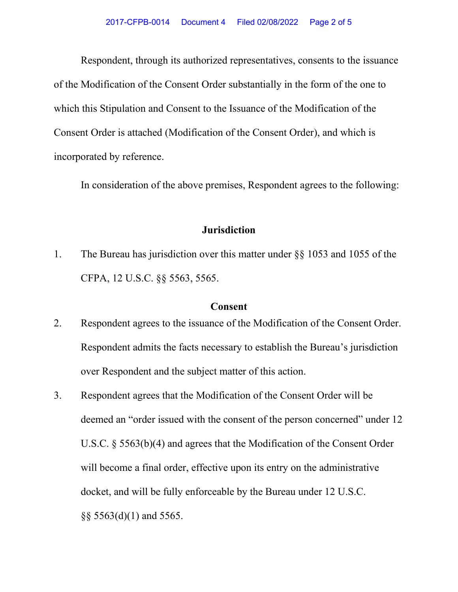Respondent, through its authorized representatives, consents to the issuance of the Modification of the Consent Order substantially in the form of the one to which this Stipulation and Consent to the Issuance of the Modification of the Consent Order is attached (Modification of the Consent Order), and which is incorporated by reference.

In consideration of the above premises, Respondent agrees to the following:

## **Jurisdiction**

1. The Bureau has jurisdiction over this matter under §§ 1053 and 1055 of the CFPA, 12 U.S.C. §§ 5563, 5565.

#### **Consent**

- 2. Respondent agrees to the issuance of the Modification of the Consent Order. Respondent admits the facts necessary to establish the Bureau's jurisdiction over Respondent and the subject matter of this action.
- 3. Respondent agrees that the Modification of the Consent Order will be deemed an "order issued with the consent of the person concerned" under 12 U.S.C. § 5563(b)(4) and agrees that the Modification of the Consent Order will become a final order, effective upon its entry on the administrative docket, and will be fully enforceable by the Bureau under 12 U.S.C. §§ 5563(d)(1) and 5565.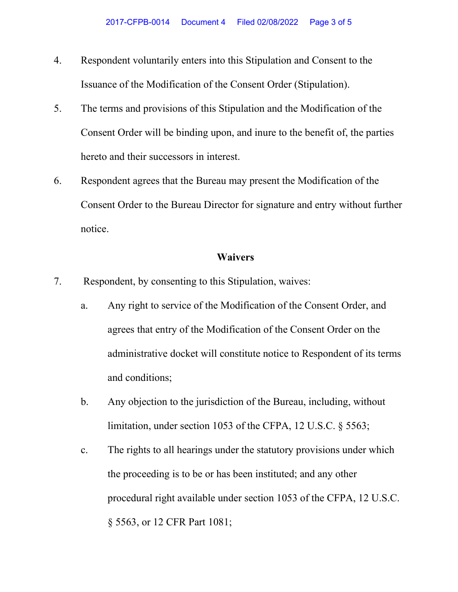- 4. Respondent voluntarily enters into this Stipulation and Consent to the Issuance of the Modification of the Consent Order (Stipulation).
- 5. The terms and provisions of this Stipulation and the Modification of the Consent Order will be binding upon, and inure to the benefit of, the parties hereto and their successors in interest.
- 6. Respondent agrees that the Bureau may present the Modification of the Consent Order to the Bureau Director for signature and entry without further notice.

### **Waivers**

- 7. Respondent, by consenting to this Stipulation, waives:
	- a. Any right to service of the Modification of the Consent Order, and agrees that entry of the Modification of the Consent Order on the administrative docket will constitute notice to Respondent of its terms and conditions;
	- b. Any objection to the jurisdiction of the Bureau, including, without limitation, under section 1053 of the CFPA, 12 U.S.C. § 5563;
	- c. The rights to all hearings under the statutory provisions under which the proceeding is to be or has been instituted; and any other procedural right available under section 1053 of the CFPA, 12 U.S.C. § 5563, or 12 CFR Part 1081;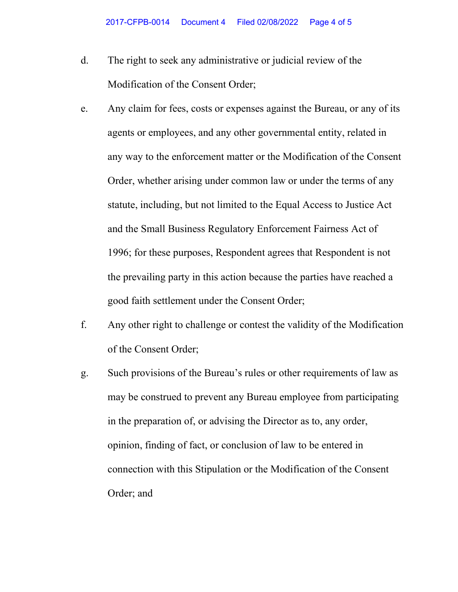- d. The right to seek any administrative or judicial review of the Modification of the Consent Order;
- e. Any claim for fees, costs or expenses against the Bureau, or any of its agents or employees, and any other governmental entity, related in any way to the enforcement matter or the Modification of the Consent Order, whether arising under common law or under the terms of any statute, including, but not limited to the Equal Access to Justice Act and the Small Business Regulatory Enforcement Fairness Act of 1996; for these purposes, Respondent agrees that Respondent is not the prevailing party in this action because the parties have reached a good faith settlement under the Consent Order;
- f. Any other right to challenge or contest the validity of the Modification of the Consent Order;
- g. Such provisions of the Bureau's rules or other requirements of law as may be construed to prevent any Bureau employee from participating in the preparation of, or advising the Director as to, any order, opinion, finding of fact, or conclusion of law to be entered in connection with this Stipulation or the Modification of the Consent Order; and